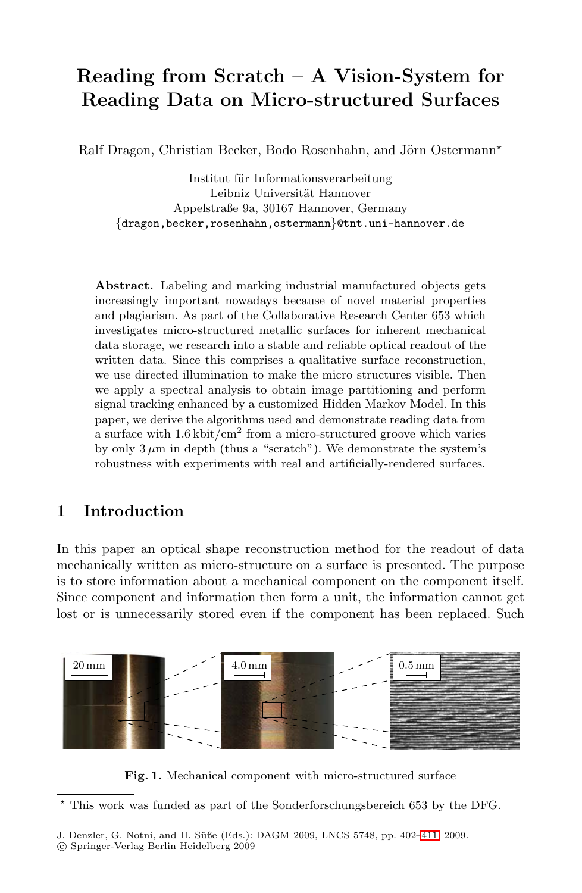# **Reading from Scratch – A Vision-System for Reading Data on Micro-structured Surfaces**

Ralf Dragon, Christian Becker, Bodo Rosenhahn, and Jörn Ostermann\*

Institut für Informationsverarbeitung Leibniz Universität Hannover Appelstraße 9a, 30167 Hannover, Germany *{*dragon,becker,rosenhahn,ostermann*}*@tnt.uni-hannover.de

**Abstract.** Labeling and marking industrial manufactured objects gets increasingly important nowadays because of novel material properties and plagiarism. As part of the Collaborative Research Center 653 which investigates micro-structured metallic surfaces for inherent mechanical data storage, we research into a stable and reliable optical readout of the written data. Since this comprises a qualitative surface reconstruction, we use directed illumination to make the micro structures visible. Then we apply a spectral analysis to obtain image partitioning and perform signal tracking enhanced by a customized Hidden Markov Model. In this paper, we derive the algorithms used and demonstrate reading data from a surface with 1*.*6 kbit*/*cm<sup>2</sup> from a micro-structured groove which varies by only  $3 \mu m$  in depth (thus a "scratch"). We demonstrate the system's robustness with experiments with real and artificially-rendered surfaces.

# **1 Introduction**

In this paper an optical shape reconstruction method for the readout of data mechanically written as micro-structure on a surface is presented. The purpose is to store information about a mechanical component on the component itself. Since component and information then form a unit, the information cannot get lost or is unnecessarily stored even if the component has been replaced. Such



<span id="page-0-0"></span>**Fig. 1.** Mechanical component with micro-structured surface

 $\star$ This work was funded as part of the Sonderforschungsbereich 653 by the DFG.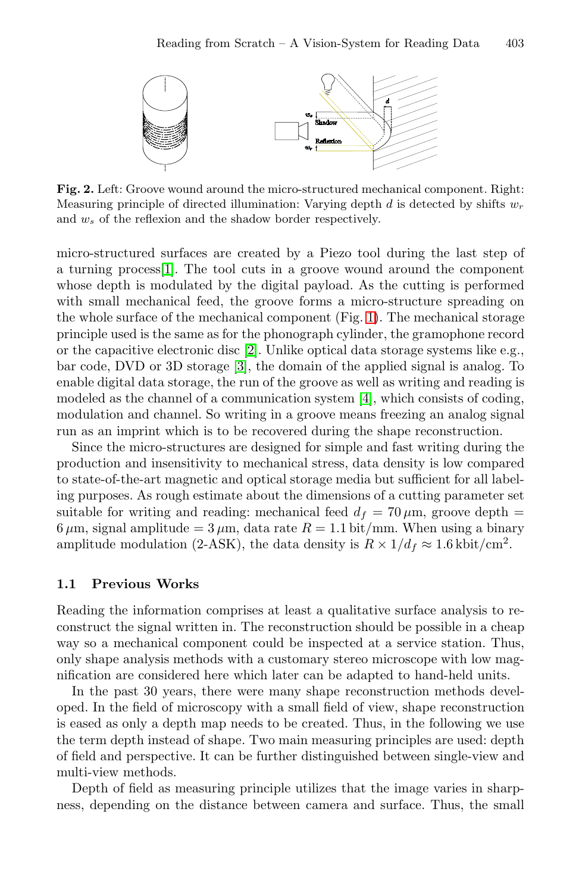

<span id="page-1-0"></span>**Fig. 2.** Left: Groove wound around the micro-structured mechanical component. Right: Measuring principle of directed illumination: Varying depth *d* is detected by shifts *w*<sup>r</sup> and *w*<sup>s</sup> of the reflexion and the shadow border respectively.

micro-structured surfaces are created by a Piezo tool during the last step of a turning process[\[1\]](#page-9-1). The tool cuts in a groove wound around the component whose depth is modulated by the digital payload. As the cutting is performed with small mechanical feed, the groove forms a micro-structure spreading on the whole surface of the mechanical component (Fig. [1\)](#page-0-0). The mechanical storage principle used is the same as for the phonograph cylinder, the gramophone record or the capacitive electronic disc [\[2\]](#page-9-2). Unlike optical data storage systems like e.g., bar code, DVD or 3D storage [\[3\]](#page-9-3), the domain of the applied signal is analog. To enable digital data storage, the run of the groove as well as writing and reading is modeled as the channel of a communication system [\[4\]](#page-9-4), which consists of coding, modulation and channel. So writing in a groove means freezing an analog signal run as an imprint which is to be recovered during the shape reconstruction.

Since the micro-structures are designed for simple and fast writing during the production and insensitivity to mechanical stress, data density is low compared to state-of-the-art magnetic and optical storage media but sufficient for all labeling purposes. As rough estimate about the dimensions of a cutting parameter set suitable for writing and reading: mechanical feed  $d_f = 70 \,\mu \text{m}$ , groove depth =  $6 \mu$ m, signal amplitude =  $3 \mu$ m, data rate  $R = 1.1 \text{ bit/mm}$ . When using a binary amplitude modulation (2-ASK), the data density is  $R \times 1/d_f \approx 1.6 \text{ kbit/cm}^2$ .

#### **1.1 Previous Works**

Reading the information comprises at least a qualitative surface analysis to reconstruct the signal written in. The reconstruction should be possible in a cheap way so a mechanical component could be inspected at a service station. Thus, only shape analysis methods with a customary stereo microscope with low magnification are considered here which later can be adapted to hand-held units.

In the past 30 years, there were many shape reconstruction methods developed. In the field of microscopy with a small field of view, shape reconstruction is eased as only a depth map needs to be created. Thus, in the following we use the term depth instead of shape. Two main measuring principles are used: depth of field and perspective. It can be further distinguished between single-view and multi-view methods.

Depth of field as measuring principle utilizes that the image varies in sharpness, depending on the distance between camera and surface. Thus, the small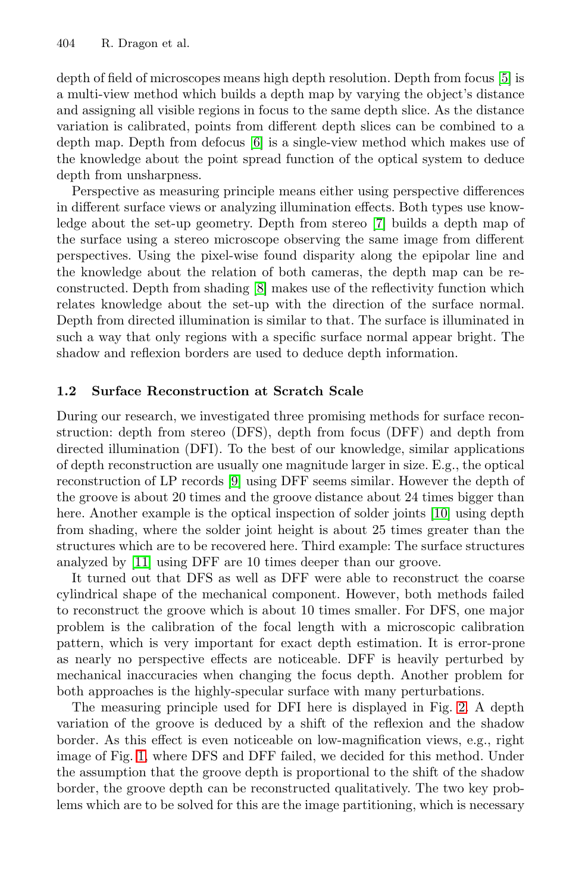depth of field of microscopes means high depth resolution. Depth from focus [\[5\]](#page-9-5) is a multi-view method which builds a depth map by varying the object's distance and assigning all visible regions in focus to the same depth slice. As the distance variation is calibrated, points from different depth slices can be combined to a depth map. Depth from defocus [\[6\]](#page-9-6) is a single-view method which makes use of the knowledge about the point spread function of the optical system to deduce depth from unsharpness.

Perspective as measuring principle means either using perspective differences in different surface views or analyzing illumination effects. Both types use knowledge about the set-up geometry. Depth from stereo [\[7\]](#page-9-7) builds a depth map of the surface using a stereo microscope observing the same image from different perspectives. Using the pixel-wise found disparity along the epipolar line and the knowledge about the relation of both cameras, the depth map can be reconstructed. Depth from shading [\[8\]](#page-9-8) makes use of the reflectivity function which relates knowledge about the set-up with the direction of the surface normal. Depth from directed illumination is similar to that. The surface is illuminated in such a way that only regions with a specific surface normal appear bright. The shadow and reflexion borders are used to deduce depth information.

#### **1.2 Surface Reconstruction at Scratch Scale**

During our research, we investigated three promising methods for surface reconstruction: depth from stereo (DFS), depth from focus (DFF) and depth from directed illumination (DFI). To the best of our knowledge, similar applications of depth reconstruction are usually one magnitude larger in size. E.g., the optical reconstruction of LP records [\[9\]](#page-9-9) using DFF seems similar. However the depth of the groove is about 20 times and the groove distance about 24 times bigger than here. Another example is the optical inspection of solder joints [\[10\]](#page-9-10) using depth from shading, where the solder joint height is about 25 times greater than the structures which are to be recovered here. Third example: The surface structures analyzed by [\[11\]](#page-9-11) using DFF are 10 times deeper than our groove.

It turned out that DFS as well as DFF were able to reconstruct the coarse cylindrical shape of the mechanical component. However, both methods failed to reconstruct the groove which is about 10 times smaller. For DFS, one major problem is the calibration of the focal length with a microscopic calibration pattern, which is very important for exact depth estimation. It is error-prone as nearly no perspective effects are noticeable. DFF is heavily perturbed by mechanical inaccuracies when changing the focus depth. Another problem for both approaches is the highly-specular surface with many perturbations.

The measuring principle used for DFI here is displayed in Fig. [2.](#page-1-0) A depth variation of the groove is deduced by a shift of the reflexion and the shadow border. As this effect is even noticeable on low-magnification views, e.g., right image of Fig. [1,](#page-0-0) where DFS and DFF failed, we decided for this method. Under the assumption that the groove depth is proportional to the shift of the shadow border, the groove depth can be reconstructed qualitatively. The two key problems which are to be solved for this are the image partitioning, which is necessary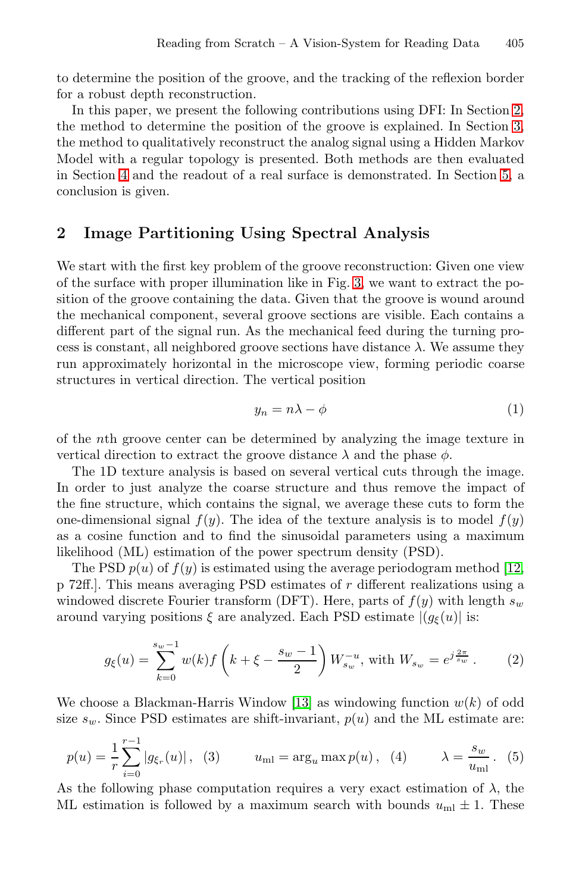to determine the position of the groove, and the tracking of the reflexion border for a robust depth reconstruction.

In this paper, we present the following contributions using DFI: In Section [2,](#page-3-0) the method to determine the position of the groove is explained. In Section [3,](#page-4-0) the method to qualitatively reconstruct the analog signal using a Hidden Markov Model with a regular topology is presented. Both methods are then evaluated in Section [4](#page-6-0) and the readout of a real surface is demonstrated. In Section [5,](#page-8-0) a conclusion is given.

## <span id="page-3-0"></span>**2 Image Partitioning Using Spectral Analysis**

We start with the first key problem of the groove reconstruction: Given one view of the surface with proper illumination like in Fig. [3,](#page-5-0) we want to extract the position of the groove containing the data. Given that the groove is wound around the mechanical component, several groove sections are visible. Each contains a different part of the signal run. As the mechanical feed during the turning process is constant, all neighbored groove sections have distance  $\lambda$ . We assume they run approximately horizontal in the microscope view, forming periodic coarse structures in vertical direction. The vertical position

<span id="page-3-2"></span>
$$
y_n = n\lambda - \phi \tag{1}
$$

of the nth groove center can be determined by analyzing the image texture in vertical direction to extract the groove distance  $\lambda$  and the phase  $\phi$ .

The 1D texture analysis is based on several vertical cuts through the image. In order to just analyze the coarse structure and thus remove the impact of the fine structure, which contains the signal, we average these cuts to form the one-dimensional signal  $f(y)$ . The idea of the texture analysis is to model  $f(y)$ as a cosine function and to find the sinusoidal parameters using a maximum likelihood (ML) estimation of the power spectrum density (PSD).

The PSD  $p(u)$  of  $f(y)$  is estimated using the average periodogram method [\[12,](#page-9-12) p 72ff.]. This means averaging PSD estimates of r different realizations using a windowed discrete Fourier transform (DFT). Here, parts of  $f(y)$  with length  $s_w$ around varying positions  $\xi$  are analyzed. Each PSD estimate  $|(g_{\xi}(u))|$  is:

<span id="page-3-3"></span>
$$
g_{\xi}(u) = \sum_{k=0}^{s_w - 1} w(k) f\left(k + \xi - \frac{s_w - 1}{2}\right) W_{s_w}^{-u}, \text{ with } W_{s_w} = e^{j\frac{2\pi}{s_w}}. \tag{2}
$$

We choose a Blackman-Harris Window [\[13\]](#page-9-13) as windowing function  $w(k)$  of odd size  $s_w$ . Since PSD estimates are shift-invariant,  $p(u)$  and the ML estimate are:

<span id="page-3-1"></span>
$$
p(u) = \frac{1}{r} \sum_{i=0}^{r-1} |g_{\xi_r}(u)|, \quad (3) \qquad u_{\text{ml}} = \arg_u \max p(u), \quad (4) \qquad \lambda = \frac{s_w}{u_{\text{ml}}}.
$$
 (5)

As the following phase computation requires a very exact estimation of  $\lambda$ , the ML estimation is followed by a maximum search with bounds  $u_{m} \pm 1$ . These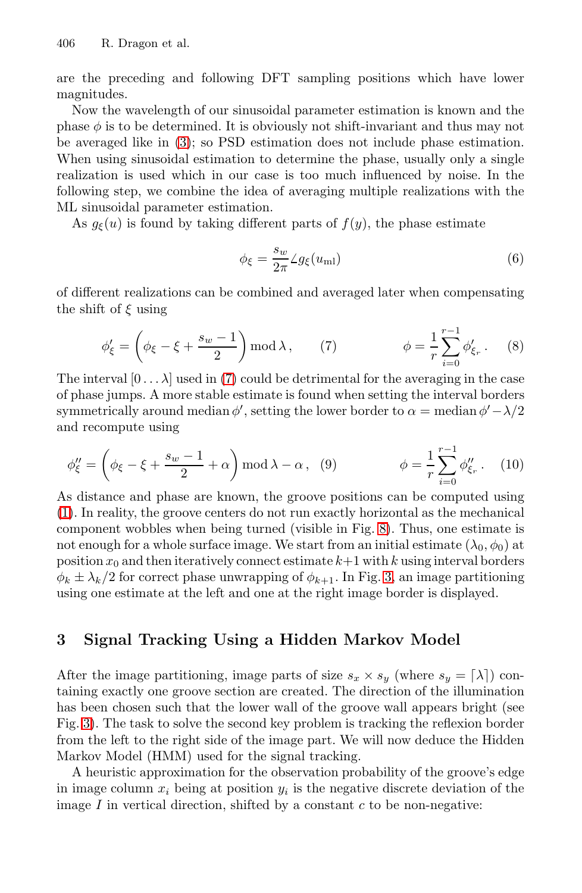are the preceding and following DFT sampling positions which have lower magnitudes.

Now the wavelength of our sinusoidal parameter estimation is known and the phase  $\phi$  is to be determined. It is obviously not shift-invariant and thus may not be averaged like in [\(3\)](#page-3-1); so PSD estimation does not include phase estimation. When using sinusoidal estimation to determine the phase, usually only a single realization is used which in our case is too much influenced by noise. In the following step, we combine the idea of averaging multiple realizations with the ML sinusoidal parameter estimation.

As  $g_{\xi}(u)$  is found by taking different parts of  $f(y)$ , the phase estimate

<span id="page-4-2"></span><span id="page-4-1"></span>
$$
\phi_{\xi} = \frac{s_w}{2\pi} \angle g_{\xi}(u_{\text{ml}}) \tag{6}
$$

of different realizations can be combined and averaged later when compensating the shift of  $\xi$  using

$$
\phi'_{\xi} = \left(\phi_{\xi} - \xi + \frac{s_w - 1}{2}\right) \operatorname{mod} \lambda, \qquad (7) \qquad \phi = \frac{1}{r} \sum_{i=0}^{r-1} \phi'_{\xi_r}.
$$
 (8)

The interval  $[0 \dots \lambda]$  used in [\(7\)](#page-4-1) could be detrimental for the averaging in the case of phase jumps. A more stable estimate is found when setting the interval borders symmetrically around median  $\phi'$ , setting the lower border to  $\alpha = \text{median } \phi' - \lambda/2$ and recompute using

$$
\phi''_{\xi} = \left(\phi_{\xi} - \xi + \frac{s_w - 1}{2} + \alpha\right) \mod \lambda - \alpha, \quad (9) \qquad \phi = \frac{1}{r} \sum_{i=0}^{r-1} \phi''_{\xi_r}.
$$
 (10)

As distance and phase are known, the groove positions can be computed using [\(1\)](#page-3-2). In reality, the groove centers do not run exactly horizontal as the mechanical component wobbles when being turned (visible in Fig. [8\)](#page-8-1). Thus, one estimate is not enough for a whole surface image. We start from an initial estimate  $(\lambda_0, \phi_0)$  at position  $x_0$  and then iteratively connect estimate  $k+1$  with k using interval borders  $\phi_k \pm \lambda_k/2$  for correct phase unwrapping of  $\phi_{k+1}$ . In Fig. [3,](#page-5-0) an image partitioning using one estimate at the left and one at the right image border is displayed.

# <span id="page-4-0"></span>**3 Signal Tracking Using a Hidden Markov Model**

After the image partitioning, image parts of size  $s_x \times s_y$  (where  $s_y = [\lambda]$ ) containing exactly one groove section are created. The direction of the illumination has been chosen such that the lower wall of the groove wall appears bright (see Fig. [3\)](#page-5-0). The task to solve the second key problem is tracking the reflexion border from the left to the right side of the image part. We will now deduce the Hidden Markov Model (HMM) used for the signal tracking.

A heuristic approximation for the observation probability of the groove's edge in image column  $x_i$  being at position  $y_i$  is the negative discrete deviation of the image  $I$  in vertical direction, shifted by a constant  $c$  to be non-negative: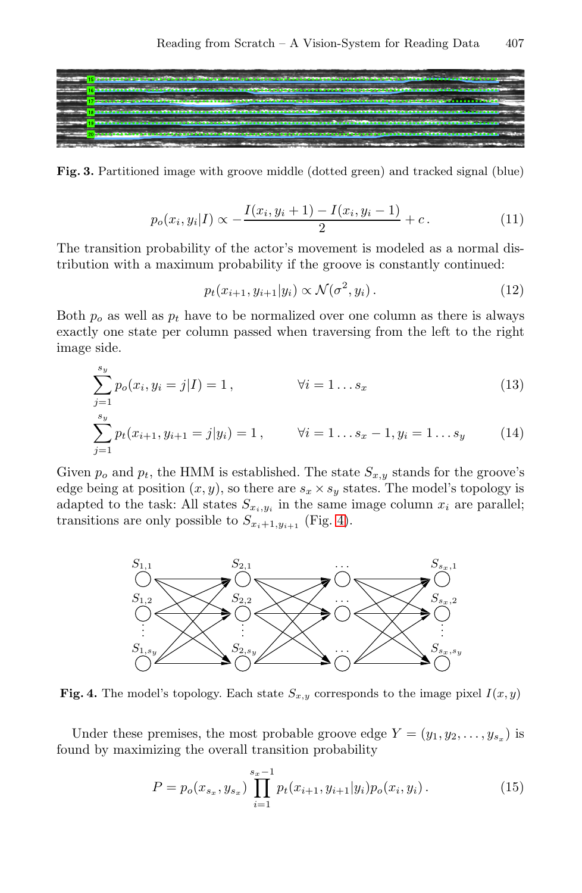

**Fig. 3.** Partitioned image with groove middle (dotted green) and tracked signal (blue)

<span id="page-5-0"></span>
$$
p_o(x_i, y_i | I) \propto -\frac{I(x_i, y_i + 1) - I(x_i, y_i - 1)}{2} + c.
$$
 (11)

The transition probability of the actor's movement is modeled as a normal distribution with a maximum probability if the groove is constantly continued:

$$
p_t(x_{i+1}, y_{i+1}|y_i) \propto \mathcal{N}(\sigma^2, y_i). \tag{12}
$$

Both  $p<sub>o</sub>$  as well as  $p<sub>t</sub>$  have to be normalized over one column as there is always exactly one state per column passed when traversing from the left to the right image side.

$$
\sum_{j=1}^{s_y} p_o(x_i, y_i = j | I) = 1, \qquad \forall i = 1...s_x
$$
\n
$$
\sum_{j=1}^{s_y} p_t(x_{i+1}, y_{i+1} = j | y_i) = 1, \qquad \forall i = 1...s_x - 1, y_i = 1...s_y
$$
\n(14)

Given  $p_o$  and  $p_t$ , the HMM is established. The state  $S_{x,y}$  stands for the groove's edge being at position  $(x, y)$ , so there are  $s_x \times s_y$  states. The model's topology is adapted to the task: All states  $S_{x_i,y_i}$  in the same image column  $x_i$  are parallel; transitions are only possible to  $S_{x_i+1,y_{i+1}}$  (Fig. [4\)](#page-5-1).



<span id="page-5-1"></span>**Fig. 4.** The model's topology. Each state  $S_{x,y}$  corresponds to the image pixel  $I(x,y)$ 

Under these premises, the most probable groove edge  $Y = (y_1, y_2, \ldots, y_{s_x})$  is found by maximizing the overall transition probability

$$
P = p_o(x_{s_x}, y_{s_x}) \prod_{i=1}^{s_x - 1} p_t(x_{i+1}, y_{i+1} | y_i) p_o(x_i, y_i).
$$
 (15)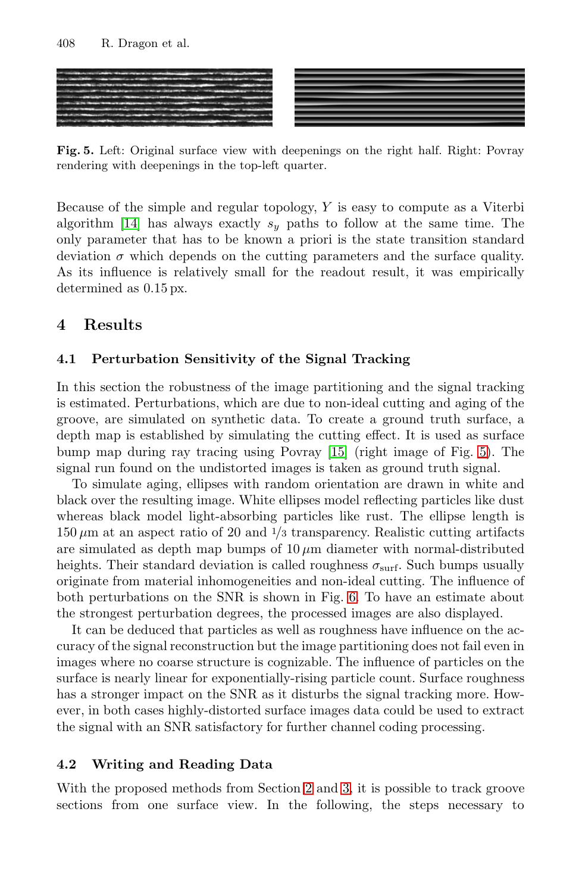

<span id="page-6-1"></span>**Fig. 5.** Left: Original surface view with deepenings on the right half. Right: Povray rendering with deepenings in the top-left quarter.

Because of the simple and regular topology, Y is easy to compute as a Viterbi algorithm [\[14\]](#page-9-14) has always exactly  $s_y$  paths to follow at the same time. The only parameter that has to be known a priori is the state transition standard deviation  $\sigma$  which depends on the cutting parameters and the surface quality. As its influence is relatively small for the readout result, it was empirically determined as 0.15 px.

# <span id="page-6-0"></span>**4 Results**

## **4.1 Perturbation Sensitivity of the Signal Tracking**

In this section the robustness of the image partitioning and the signal tracking is estimated. Perturbations, which are due to non-ideal cutting and aging of the groove, are simulated on synthetic data. To create a ground truth surface, a depth map is established by simulating the cutting effect. It is used as surface bump map during ray tracing using Povray [\[15\]](#page-9-15) (right image of Fig. [5\)](#page-6-1). The signal run found on the undistorted images is taken as ground truth signal.

To simulate aging, ellipses with random orientation are drawn in white and black over the resulting image. White ellipses model reflecting particles like dust whereas black model light-absorbing particles like rust. The ellipse length is  $150 \,\mu\text{m}$  at an aspect ratio of 20 and  $1/3$  transparency. Realistic cutting artifacts are simulated as depth map bumps of  $10 \mu m$  diameter with normal-distributed heights. Their standard deviation is called roughness  $\sigma_{\text{surf}}$ . Such bumps usually originate from material inhomogeneities and non-ideal cutting. The influence of both perturbations on the SNR is shown in Fig. [6.](#page-7-0) To have an estimate about the strongest perturbation degrees, the processed images are also displayed.

It can be deduced that particles as well as roughness have influence on the accuracy of the signal reconstruction but the image partitioning does not fail even in images where no coarse structure is cognizable. The influence of particles on the surface is nearly linear for exponentially-rising particle count. Surface roughness has a stronger impact on the SNR as it disturbs the signal tracking more. However, in both cases highly-distorted surface images data could be used to extract the signal with an SNR satisfactory for further channel coding processing.

#### **4.2 Writing and Reading Data**

With the proposed methods from Section [2](#page-3-0) and [3,](#page-4-0) it is possible to track groove sections from one surface view. In the following, the steps necessary to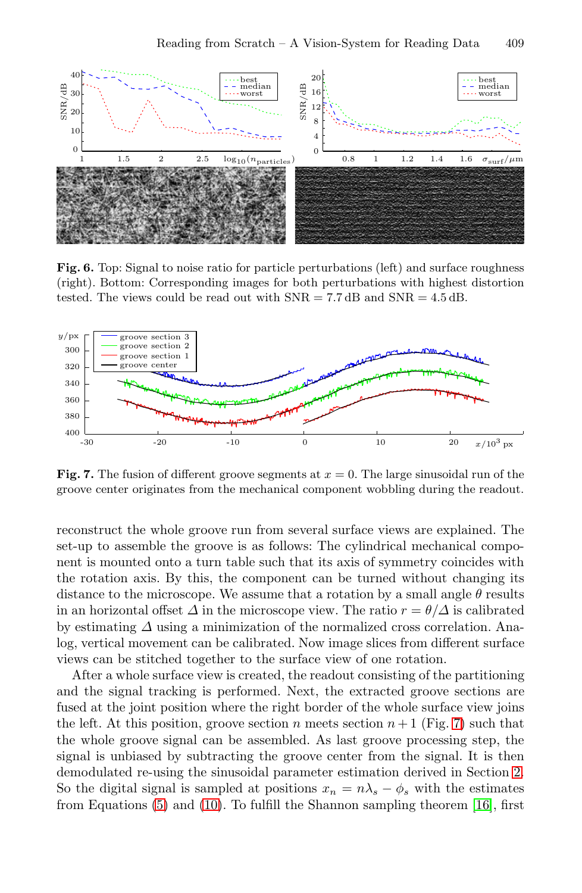

<span id="page-7-0"></span>Fig. 6. Top: Signal to noise ratio for particle perturbations (left) and surface roughness (right). Bottom: Corresponding images for both perturbations with highest distortion tested. The views could be read out with SNR = 7*.*7 dB and SNR = 4*.*5 dB.



<span id="page-7-1"></span>**Fig. 7.** The fusion of different groove segments at *<sup>x</sup>* = 0. The large sinusoidal run of the groove center originates from the mechanical component wobbling during the readout.

reconstruct the whole groove run from several surface views are explained. The set-up to assemble the groove is as follows: The cylindrical mechanical component is mounted onto a turn table such that its axis of symmetry coincides with the rotation axis. By this, the component can be turned without changing its distance to the microscope. We assume that a rotation by a small angle  $\theta$  results in an horizontal offset  $\Delta$  in the microscope view. The ratio  $r = \theta/\Delta$  is calibrated by estimating  $\Delta$  using a minimization of the normalized cross correlation. Analog, vertical movement can be calibrated. Now image slices from different surface views can be stitched together to the surface view of one rotation.

After a whole surface view is created, the readout consisting of the partitioning and the signal tracking is performed. Next, the extracted groove sections are fused at the joint position where the right border of the whole surface view joins the left. At this position, groove section n meets section  $n+1$  (Fig. [7\)](#page-7-1) such that the whole groove signal can be assembled. As last groove processing step, the signal is unbiased by subtracting the groove center from the signal. It is then demodulated re-using the sinusoidal parameter estimation derived in Section [2.](#page-3-0) So the digital signal is sampled at positions  $x_n = n\lambda_s - \phi_s$  with the estimates from Equations [\(5\)](#page-3-3) and [\(10\)](#page-4-2). To fulfill the Shannon sampling theorem [\[16\]](#page-9-16), first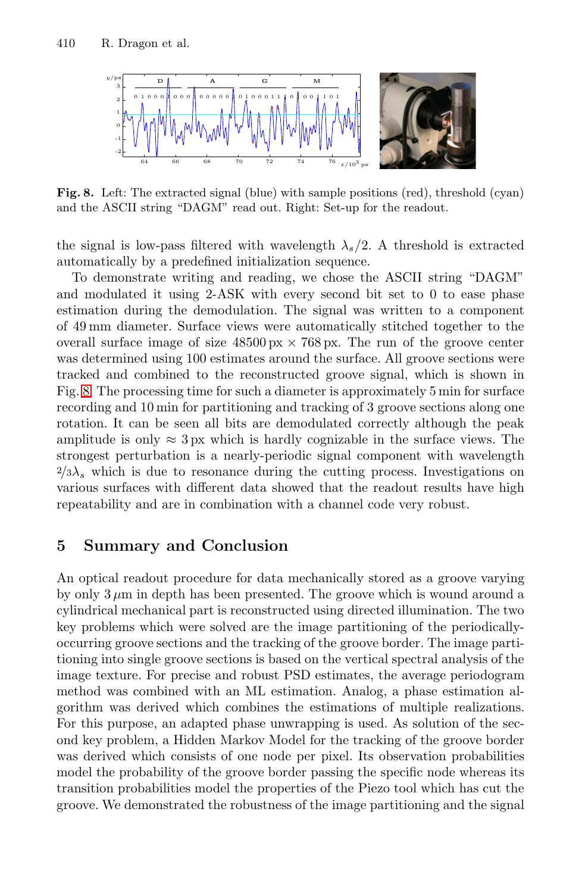

<span id="page-8-1"></span>**Fig. 8.** Left: The extracted signal (blue) with sample positions (red), threshold (cyan) and the ASCII string "DAGM" read out. Right: Set-up for the readout.

the signal is low-pass filtered with wavelength  $\lambda_s/2$ . A threshold is extracted automatically by a predefined initialization sequence.

To demonstrate writing and reading, we chose the ASCII string "DAGM" and modulated it using 2-ASK with every second bit set to 0 to ease phase estimation during the demodulation. The signal was written to a component of 49 mm diameter. Surface views were automatically stitched together to the overall surface image of size  $48500 \text{ px} \times 768 \text{ px}$ . The run of the groove center was determined using 100 estimates around the surface. All groove sections were tracked and combined to the reconstructed groove signal, which is shown in Fig. [8.](#page-8-1) The processing time for such a diameter is approximately 5 min for surface recording and 10 min for partitioning and tracking of 3 groove sections along one rotation. It can be seen all bits are demodulated correctly although the peak amplitude is only  $\approx 3 \text{ px}$  which is hardly cognizable in the surface views. The strongest perturbation is a nearly-periodic signal component with wavelength  $^{2}/3\lambda_{s}$  which is due to resonance during the cutting process. Investigations on various surfaces with different data showed that the readout results have high repeatability and are in combination with a channel code very robust.

## <span id="page-8-0"></span>**5 Summary and Conclusion**

An optical readout procedure for data mechanically stored as a groove varying by only  $3 \mu m$  in depth has been presented. The groove which is wound around a cylindrical mechanical part is reconstructed using directed illumination. The two key problems which were solved are the image partitioning of the periodicallyoccurring groove sections and the tracking of the groove border. The image partitioning into single groove sections is based on the vertical spectral analysis of the image texture. For precise and robust PSD estimates, the average periodogram method was combined with an ML estimation. Analog, a phase estimation algorithm was derived which combines the estimations of multiple realizations. For this purpose, an adapted phase unwrapping is used. As solution of the second key problem, a Hidden Markov Model for the tracking of the groove border was derived which consists of one node per pixel. Its observation probabilities model the probability of the groove border passing the specific node whereas its transition probabilities model the properties of the Piezo tool which has cut the groove. We demonstrated the robustness of the image partitioning and the signal